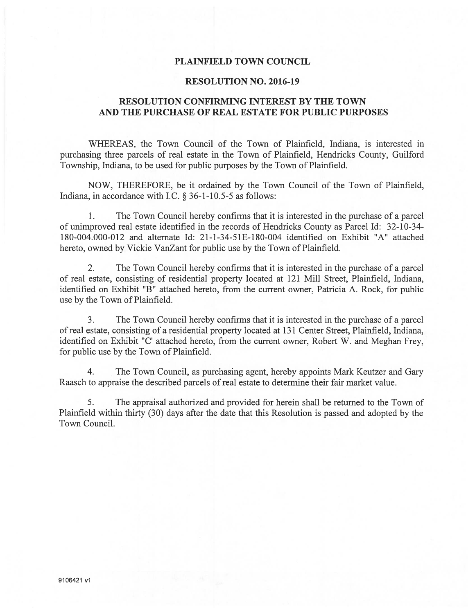#### PLAINFIELD TOWN COUNCIL

#### RESOLUTION NO. 2016-19

### RESOLUTION CONFIRMING INTEREST BY THE TOWN AND THE PURCHASE OF REAL ESTATE FOR PUBLIC PURPOSES

WHEREAS, the Town Council of the Town of Plainfield, Indiana, is interested in purchasing three parcels of real estate in the Town of Plainfield, Hendricks County, Guilford Township, Indiana, to be used for public purposes by the Town of Plainfield.

NOW, THEREFORE, be it ordained by the Town Council of the Town of Plainfield, Indiana, in accordance with I.C.  $\S 36$ -1-10.5-5 as follows:

1. The Town Council hereby confirms that it is interested in the purchase of a parcel of unimproved real estate identified in the records of Hendricks County as Parcel Id: 32-10-34- 180-004.000-012 and alternate Id: 21-l-34-51E-180-004 identified on Exhibit "A" attached hereto, owned by Vickie VanZant for public use by the Town of Plainfield.

2. The Town Council hereby confirms that it is interested in the purchase of a parcel of real estate, consisting of residential property located at 121 Mill Street, Plainfield, Indiana, identified on Exhibit "B" attached hereto, from the current owner, Patricia A. Rock, for public use by the Town of Plainfield.

3. The Town Council hereby confirms that it is interested in the purchase of a parcel of real estate, consisting of a residential property located at 131 Center Street, Plainfield, Indiana, identified on Exhibit "C' attached hereto, from the current owner, Robert W. and Meghan Frey, for public use by the Town of Plainfield.

4. The Town Council, as purchasing agent, hereby appoints Mark Keutzer and Gary Raasch to appraise the described parcels of real estate to determine their fair market value.

5. The appraisal authorized and provided for herein shall be returned to the Town of Plainfield within thirty (30) days after the date that this Resolution is passed and adopted by the Town Council.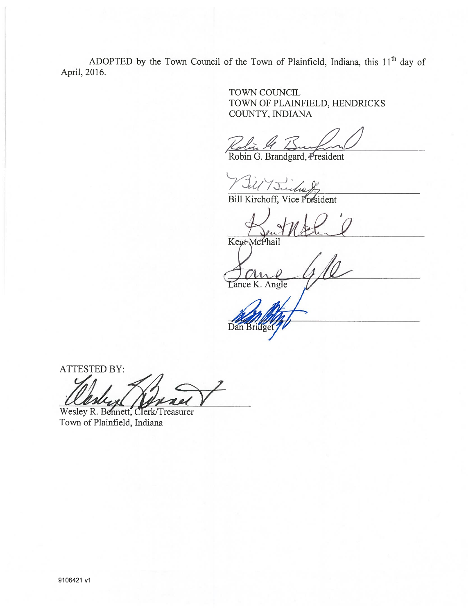ADOPTED by the Town Council of the Town of Plainfield, Indiana, this  $11<sup>th</sup>$  day of April, 2016

> TOWN COUNCIL TOWN OF PLAINFIELD, HENDRICKS

COUNTY, INDIANA<br>Kolin 4 ISm

Robin G. Brandgard, President

Bill Kirchoff, Vice President

Kept McPhail

Lance K. Angle

ATTESTED BY:

Wesley R. Bennett, Clerk/Treasurer<br>Town of Plainfield, Indiana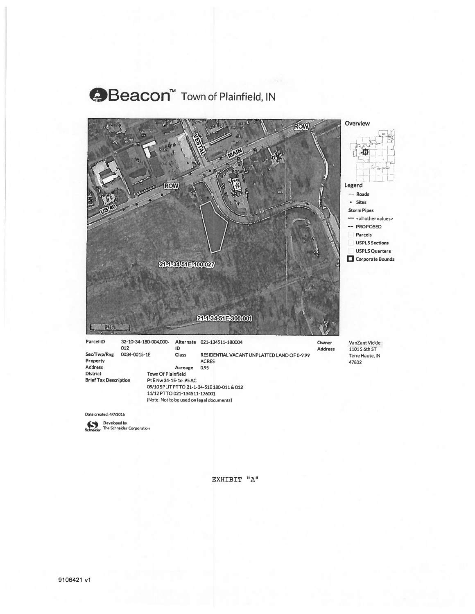## **⊕Beacon**™ Town of Plainfield, IN



Date created: 4/7/2016

Developed by<br>Schneider The Schneider Corporation

EXHIBIT "A"

(Note: Not to be used on legal documents)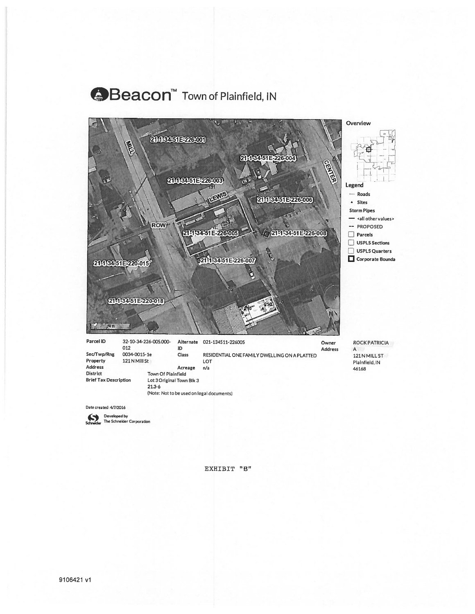## **A**Beacon™ Town of Plainfield, IN





Schneider The Schneider Corporation

EXHIBIT "B"